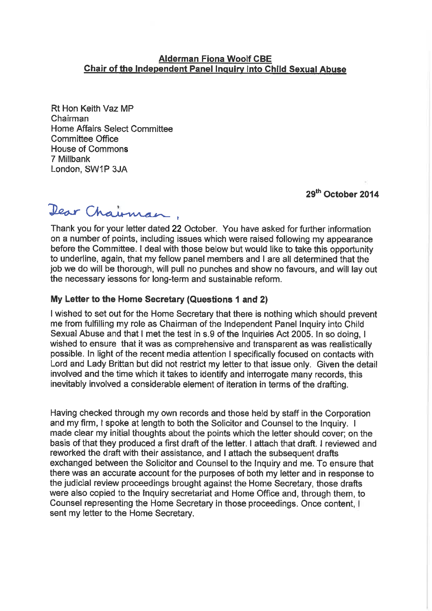## **Alderman Fiona Woolf CBE Chair of the Independent Panel Inquiry into Child Sexual Abuse**

Rt Hon Keith Vaz MP Chairman **Home Affairs Select Committee Committee Office House of Commons** 7 Millbank London, SW1P 3JA

# 29<sup>th</sup> October 2014

Dear Chairman,

Thank you for your letter dated 22 October. You have asked for further information on a number of points, including issues which were raised following my appearance before the Committee. I deal with those below but would like to take this opportunity to underline, again, that my fellow panel members and I are all determined that the job we do will be thorough, will pull no punches and show no favours, and will lay out the necessary lessons for long-term and sustainable reform.

#### My Letter to the Home Secretary (Questions 1 and 2)

I wished to set out for the Home Secretary that there is nothing which should prevent me from fulfilling my role as Chairman of the Independent Panel Inquiry into Child Sexual Abuse and that I met the test in s.9 of the Inquiries Act 2005. In so doing, I wished to ensure that it was as comprehensive and transparent as was realistically possible. In light of the recent media attention I specifically focused on contacts with Lord and Lady Brittan but did not restrict my letter to that issue only. Given the detail involved and the time which it takes to identify and interrogate many records, this inevitably involved a considerable element of iteration in terms of the drafting.

Having checked through my own records and those held by staff in the Corporation and my firm, I spoke at length to both the Solicitor and Counsel to the Inquiry. I made clear my initial thoughts about the points which the letter should cover: on the basis of that they produced a first draft of the letter. I attach that draft. I reviewed and reworked the draft with their assistance, and I attach the subsequent drafts exchanged between the Solicitor and Counsel to the Inquiry and me. To ensure that there was an accurate account for the purposes of both my letter and in response to the judicial review proceedings brought against the Home Secretary, those drafts were also copied to the Inquiry secretariat and Home Office and, through them, to Counsel representing the Home Secretary in those proceedings. Once content, I sent my letter to the Home Secretary.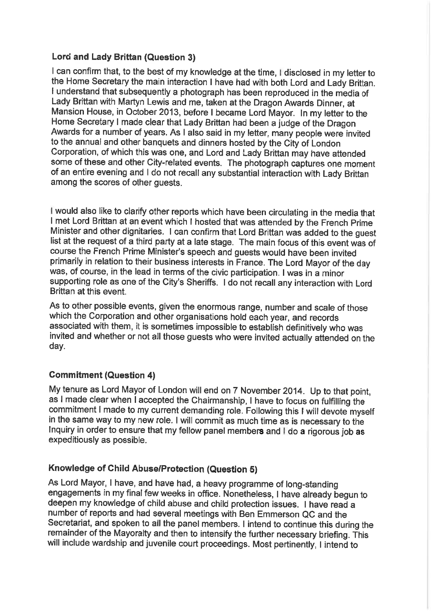# Lord and Lady Brittan (Question 3)

I can confirm that, to the best of my knowledge at the time, I disclosed in my letter to the Home Secretary the main interaction I have had with both Lord and Lady Brittan. I understand that subsequently a photograph has been reproduced in the media of Lady Brittan with Martyn Lewis and me, taken at the Dragon Awards Dinner, at Mansion House, in October 2013, before I became Lord Mayor. In my letter to the Home Secretary I made clear that Lady Brittan had been a judge of the Dragon Awards for a number of years. As I also said in my letter, many people were invited to the annual and other banquets and dinners hosted by the City of London Corporation, of which this was one, and Lord and Lady Brittan may have attended some of these and other City-related events. The photograph captures one moment of an entire evening and I do not recall any substantial interaction with Lady Brittan among the scores of other quests.

I would also like to clarify other reports which have been circulating in the media that I met Lord Brittan at an event which I hosted that was attended by the French Prime Minister and other dignitaries. I can confirm that Lord Brittan was added to the guest list at the request of a third party at a late stage. The main focus of this event was of course the French Prime Minister's speech and guests would have been invited primarily in relation to their business interests in France. The Lord Mayor of the day was, of course, in the lead in terms of the civic participation. I was in a minor supporting role as one of the City's Sheriffs. I do not recall any interaction with Lord Brittan at this event.

As to other possible events, given the enormous range, number and scale of those which the Corporation and other organisations hold each year, and records associated with them, it is sometimes impossible to establish definitively who was invited and whether or not all those guests who were invited actually attended on the day.

# **Commitment (Question 4)**

My tenure as Lord Mayor of London will end on 7 November 2014. Up to that point, as I made clear when I accepted the Chairmanship, I have to focus on fulfilling the commitment I made to my current demanding role. Following this I will devote myself in the same way to my new role. I will commit as much time as is necessary to the Inquiry in order to ensure that my fellow panel members and I do a rigorous job as expeditiously as possible.

# Knowledge of Child Abuse/Protection (Question 5)

As Lord Mayor, I have, and have had, a heavy programme of long-standing engagements in my final few weeks in office. Nonetheless, I have already begun to deepen my knowledge of child abuse and child protection issues. I have read a number of reports and had several meetings with Ben Emmerson QC and the Secretariat, and spoken to all the panel members. I intend to continue this during the remainder of the Mayoralty and then to intensify the further necessary briefing. This will include wardship and juvenile court proceedings. Most pertinently, I intend to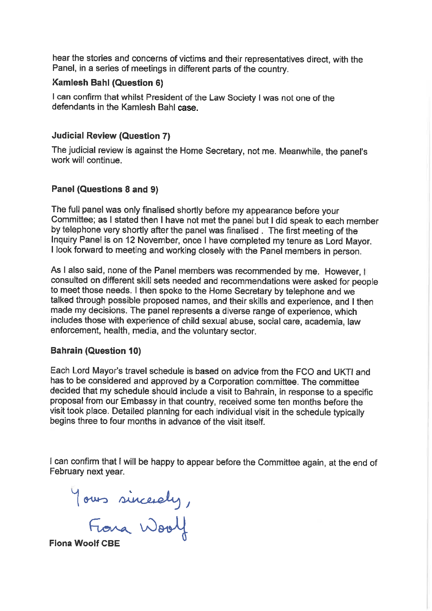hear the stories and concerns of victims and their representatives direct, with the Panel, in a series of meetings in different parts of the country.

### **Kamlesh Bahl (Question 6)**

I can confirm that whilst President of the Law Society I was not one of the defendants in the Kamlesh Bahl case.

### **Judicial Review (Question 7)**

The judicial review is against the Home Secretary, not me. Meanwhile, the panel's work will continue.

#### Panel (Questions 8 and 9)

The full panel was only finalised shortly before my appearance before your Committee; as I stated then I have not met the panel but I did speak to each member by telephone very shortly after the panel was finalised. The first meeting of the Inquiry Panel is on 12 November, once I have completed my tenure as Lord Mayor. I look forward to meeting and working closely with the Panel members in person.

As I also said, none of the Panel members was recommended by me. However, I consulted on different skill sets needed and recommendations were asked for people to meet those needs. I then spoke to the Home Secretary by telephone and we talked through possible proposed names, and their skills and experience, and I then made my decisions. The panel represents a diverse range of experience, which includes those with experience of child sexual abuse, social care, academia, law enforcement, health, media, and the voluntary sector.

#### **Bahrain (Question 10)**

Each Lord Mayor's travel schedule is based on advice from the FCO and UKTI and has to be considered and approved by a Corporation committee. The committee decided that my schedule should include a visit to Bahrain, in response to a specific proposal from our Embassy in that country, received some ten months before the visit took place. Detailed planning for each individual visit in the schedule typically begins three to four months in advance of the visit itself.

I can confirm that I will be happy to appear before the Committee again, at the end of February next year.

Yours sincerely,<br>Frona Woolf

**Fiona Woolf CB**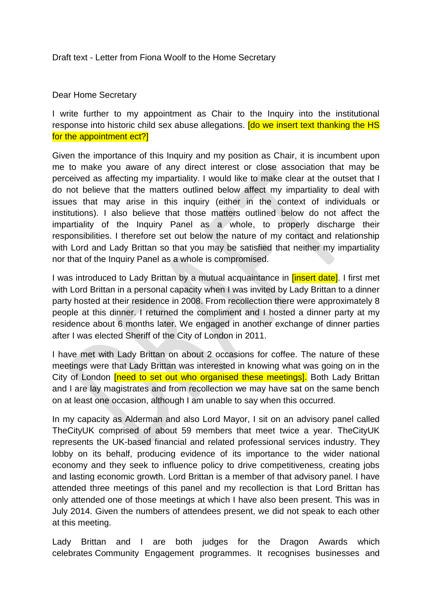## Draft text - Letter from Fiona Woolf to the Home Secretary

## Dear Home Secretary

I write further to my appointment as Chair to the Inquiry into the institutional response into historic child sex abuse allegations. **[do we insert text thanking the HS** for the appointment ect?]

Given the importance of this Inquiry and my position as Chair, it is incumbent upon me to make you aware of any direct interest or close association that may be perceived as affecting my impartiality. I would like to make clear at the outset that I do not believe that the matters outlined below affect my impartiality to deal with issues that may arise in this inquiry (either in the context of individuals or institutions). I also believe that those matters outlined below do not affect the impartiality of the Inquiry Panel as a whole, to properly discharge their responsibilities. I therefore set out below the nature of my contact and relationship with Lord and Lady Brittan so that you may be satisfied that neither my impartiality nor that of the Inquiry Panel as a whole is compromised.

I was introduced to Lady Brittan by a mutual acquaintance in *[insert date]*. I first met with Lord Brittan in a personal capacity when I was invited by Lady Brittan to a dinner party hosted at their residence in 2008. From recollection there were approximately 8 people at this dinner. I returned the compliment and I hosted a dinner party at my residence about 6 months later. We engaged in another exchange of dinner parties after I was elected Sheriff of the City of London in 2011.

I have met with Lady Brittan on about 2 occasions for coffee. The nature of these meetings were that Lady Brittan was interested in knowing what was going on in the City of London **[need to set out who organised these meetings]**. Both Lady Brittan and I are lay magistrates and from recollection we may have sat on the same bench on at least one occasion, although I am unable to say when this occurred.

In my capacity as Alderman and also Lord Mayor, I sit on an advisory panel called TheCityUK comprised of about 59 members that meet twice a year. TheCityUK represents the UK-based financial and related professional services industry. They lobby on its behalf, producing evidence of its importance to the wider national economy and they seek to influence policy to drive competitiveness, creating jobs and lasting economic growth. Lord Brittan is a member of that advisory panel. I have attended three meetings of this panel and my recollection is that Lord Brittan has only attended one of those meetings at which I have also been present. This was in July 2014. Given the numbers of attendees present, we did not speak to each other at this meeting.

Lady Brittan and I are both judges for the Dragon Awards which celebrates Community Engagement programmes. It recognises businesses and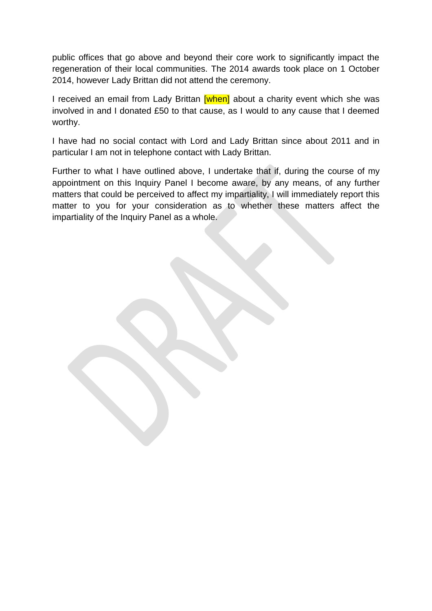public offices that go above and beyond their core work to significantly impact the regeneration of their local communities. The 2014 awards took place on 1 October 2014, however Lady Brittan did not attend the ceremony.

I received an email from Lady Brittan *[when]* about a charity event which she was involved in and I donated £50 to that cause, as I would to any cause that I deemed worthy.

I have had no social contact with Lord and Lady Brittan since about 2011 and in particular I am not in telephone contact with Lady Brittan.

Further to what I have outlined above, I undertake that if, during the course of my appointment on this Inquiry Panel I become aware, by any means, of any further matters that could be perceived to affect my impartiality, I will immediately report this matter to you for your consideration as to whether these matters affect the impartiality of the Inquiry Panel as a whole.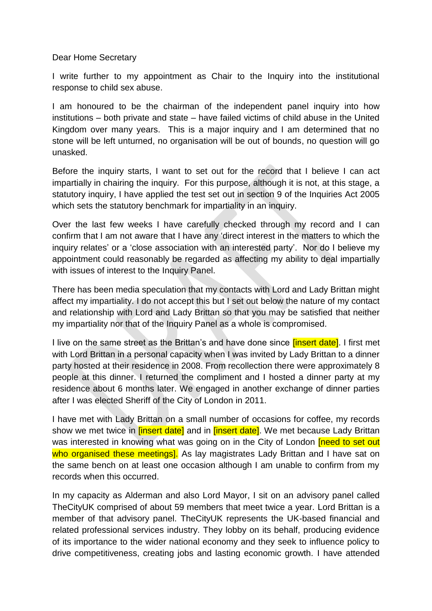Dear Home Secretary

I write further to my appointment as Chair to the Inquiry into the institutional response to child sex abuse.

I am honoured to be the chairman of the independent panel inquiry into how institutions – both private and state – have failed victims of child abuse in the United Kingdom over many years. This is a major inquiry and I am determined that no stone will be left unturned, no organisation will be out of bounds, no question will go unasked.

Before the inquiry starts, I want to set out for the record that I believe I can act impartially in chairing the inquiry. For this purpose, although it is not, at this stage, a statutory inquiry, I have applied the test set out in section 9 of the Inquiries Act 2005 which sets the statutory benchmark for impartiality in an inquiry.

Over the last few weeks I have carefully checked through my record and I can confirm that I am not aware that I have any 'direct interest in the matters to which the inquiry relates' or a 'close association with an interested party'. Nor do I believe my appointment could reasonably be regarded as affecting my ability to deal impartially with issues of interest to the Inquiry Panel.

There has been media speculation that my contacts with Lord and Lady Brittan might affect my impartiality. I do not accept this but I set out below the nature of my contact and relationship with Lord and Lady Brittan so that you may be satisfied that neither my impartiality nor that of the Inquiry Panel as a whole is compromised.

I live on the same street as the Brittan's and have done since *[insert date]*. I first met with Lord Brittan in a personal capacity when I was invited by Lady Brittan to a dinner party hosted at their residence in 2008. From recollection there were approximately 8 people at this dinner. I returned the compliment and I hosted a dinner party at my residence about 6 months later. We engaged in another exchange of dinner parties after I was elected Sheriff of the City of London in 2011.

I have met with Lady Brittan on a small number of occasions for coffee, my records show we met twice in *[insert date]* and in *[insert date]*. We met because Lady Brittan was interested in knowing what was going on in the City of London *[need to set out* who organised these meetings]. As lay magistrates Lady Brittan and I have sat on the same bench on at least one occasion although I am unable to confirm from my records when this occurred.

In my capacity as Alderman and also Lord Mayor, I sit on an advisory panel called TheCityUK comprised of about 59 members that meet twice a year. Lord Brittan is a member of that advisory panel. TheCityUK represents the UK-based financial and related professional services industry. They lobby on its behalf, producing evidence of its importance to the wider national economy and they seek to influence policy to drive competitiveness, creating jobs and lasting economic growth. I have attended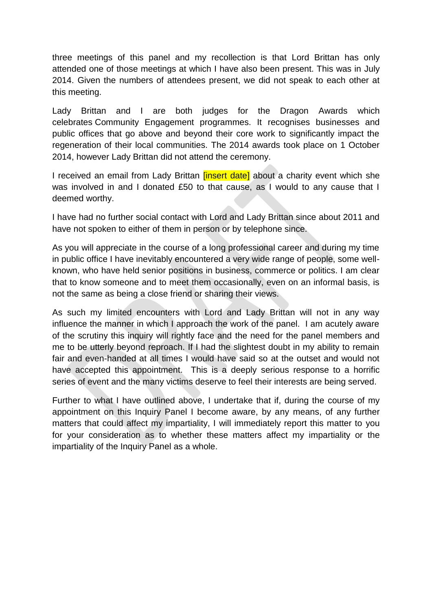three meetings of this panel and my recollection is that Lord Brittan has only attended one of those meetings at which I have also been present. This was in July 2014. Given the numbers of attendees present, we did not speak to each other at this meeting.

Lady Brittan and I are both judges for the Dragon Awards which celebrates Community Engagement programmes. It recognises businesses and public offices that go above and beyond their core work to significantly impact the regeneration of their local communities. The 2014 awards took place on 1 October 2014, however Lady Brittan did not attend the ceremony.

I received an email from Lady Brittan *[insert date]* about a charity event which she was involved in and I donated £50 to that cause, as I would to any cause that I deemed worthy.

I have had no further social contact with Lord and Lady Brittan since about 2011 and have not spoken to either of them in person or by telephone since.

As you will appreciate in the course of a long professional career and during my time in public office I have inevitably encountered a very wide range of people, some wellknown, who have held senior positions in business, commerce or politics. I am clear that to know someone and to meet them occasionally, even on an informal basis, is not the same as being a close friend or sharing their views.

As such my limited encounters with Lord and Lady Brittan will not in any way influence the manner in which I approach the work of the panel. I am acutely aware of the scrutiny this inquiry will rightly face and the need for the panel members and me to be utterly beyond reproach. If I had the slightest doubt in my ability to remain fair and even-handed at all times I would have said so at the outset and would not have accepted this appointment. This is a deeply serious response to a horrific series of event and the many victims deserve to feel their interests are being served.

Further to what I have outlined above, I undertake that if, during the course of my appointment on this Inquiry Panel I become aware, by any means, of any further matters that could affect my impartiality, I will immediately report this matter to you for your consideration as to whether these matters affect my impartiality or the impartiality of the Inquiry Panel as a whole.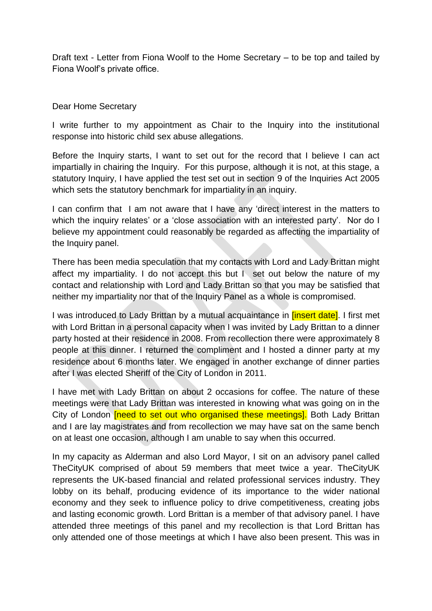Draft text - Letter from Fiona Woolf to the Home Secretary – to be top and tailed by Fiona Woolf's private office.

# Dear Home Secretary

I write further to my appointment as Chair to the Inquiry into the institutional response into historic child sex abuse allegations.

Before the Inquiry starts, I want to set out for the record that I believe I can act impartially in chairing the Inquiry. For this purpose, although it is not, at this stage, a statutory Inquiry, I have applied the test set out in section 9 of the Inquiries Act 2005 which sets the statutory benchmark for impartiality in an inquiry.

I can confirm that I am not aware that I have any 'direct interest in the matters to which the inquiry relates' or a 'close association with an interested party'. Nor do I believe my appointment could reasonably be regarded as affecting the impartiality of the Inquiry panel.

There has been media speculation that my contacts with Lord and Lady Brittan might affect my impartiality. I do not accept this but I set out below the nature of my contact and relationship with Lord and Lady Brittan so that you may be satisfied that neither my impartiality nor that of the Inquiry Panel as a whole is compromised.

I was introduced to Lady Brittan by a mutual acquaintance in **linsert datel.** I first met with Lord Brittan in a personal capacity when I was invited by Lady Brittan to a dinner party hosted at their residence in 2008. From recollection there were approximately 8 people at this dinner. I returned the compliment and I hosted a dinner party at my residence about 6 months later. We engaged in another exchange of dinner parties after I was elected Sheriff of the City of London in 2011.

I have met with Lady Brittan on about 2 occasions for coffee. The nature of these meetings were that Lady Brittan was interested in knowing what was going on in the City of London **[need to set out who organised these meetings]**. Both Lady Brittan and I are lay magistrates and from recollection we may have sat on the same bench on at least one occasion, although I am unable to say when this occurred.

In my capacity as Alderman and also Lord Mayor, I sit on an advisory panel called TheCityUK comprised of about 59 members that meet twice a year. TheCityUK represents the UK-based financial and related professional services industry. They lobby on its behalf, producing evidence of its importance to the wider national economy and they seek to influence policy to drive competitiveness, creating jobs and lasting economic growth. Lord Brittan is a member of that advisory panel. I have attended three meetings of this panel and my recollection is that Lord Brittan has only attended one of those meetings at which I have also been present. This was in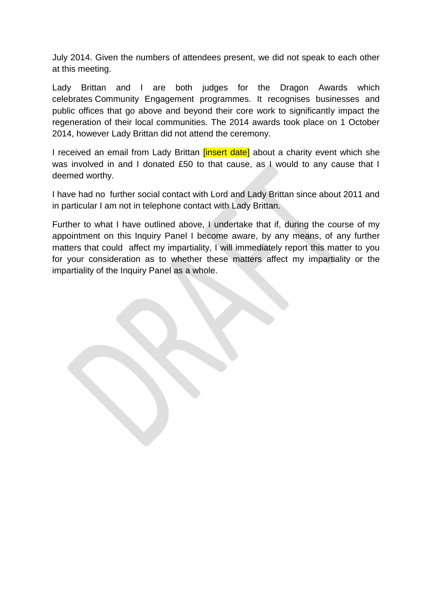July 2014. Given the numbers of attendees present, we did not speak to each other at this meeting.

Lady Brittan and I are both judges for the Dragon Awards which celebrates Community Engagement programmes. It recognises businesses and public offices that go above and beyond their core work to significantly impact the regeneration of their local communities. The 2014 awards took place on 1 October 2014, however Lady Brittan did not attend the ceremony.

I received an email from Lady Brittan *[insert date]* about a charity event which she was involved in and I donated £50 to that cause, as I would to any cause that I deemed worthy.

I have had no further social contact with Lord and Lady Brittan since about 2011 and in particular I am not in telephone contact with Lady Brittan.

Further to what I have outlined above, I undertake that if, during the course of my appointment on this Inquiry Panel I become aware, by any means, of any further matters that could affect my impartiality, I will immediately report this matter to you for your consideration as to whether these matters affect my impartiality or the impartiality of the Inquiry Panel as a whole.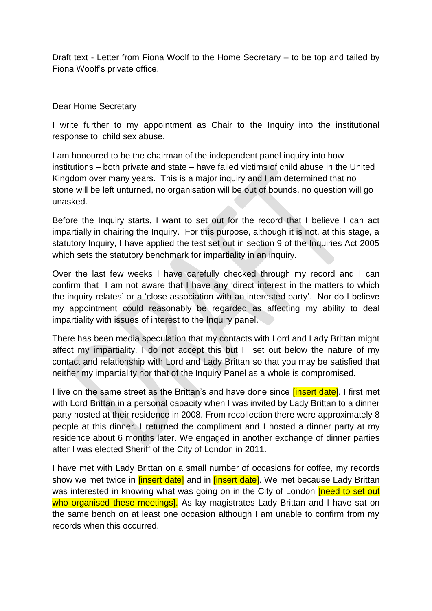Draft text - Letter from Fiona Woolf to the Home Secretary – to be top and tailed by Fiona Woolf's private office.

# Dear Home Secretary

I write further to my appointment as Chair to the Inquiry into the institutional response to child sex abuse.

I am honoured to be the chairman of the independent panel inquiry into how institutions – both private and state – have failed victims of child abuse in the United Kingdom over many years. This is a major inquiry and I am determined that no stone will be left unturned, no organisation will be out of bounds, no question will go unasked.

Before the Inquiry starts, I want to set out for the record that I believe I can act impartially in chairing the Inquiry. For this purpose, although it is not, at this stage, a statutory Inquiry, I have applied the test set out in section 9 of the Inquiries Act 2005 which sets the statutory benchmark for impartiality in an inquiry.

Over the last few weeks I have carefully checked through my record and I can confirm that I am not aware that I have any 'direct interest in the matters to which the inquiry relates' or a 'close association with an interested party'. Nor do I believe my appointment could reasonably be regarded as affecting my ability to deal impartiality with issues of interest to the Inquiry panel.

There has been media speculation that my contacts with Lord and Lady Brittan might affect my impartiality. I do not accept this but I set out below the nature of my contact and relationship with Lord and Lady Brittan so that you may be satisfied that neither my impartiality nor that of the Inquiry Panel as a whole is compromised.

I live on the same street as the Brittan's and have done since *[insert date]*. I first met with Lord Brittan in a personal capacity when I was invited by Lady Brittan to a dinner party hosted at their residence in 2008. From recollection there were approximately 8 people at this dinner. I returned the compliment and I hosted a dinner party at my residence about 6 months later. We engaged in another exchange of dinner parties after I was elected Sheriff of the City of London in 2011.

I have met with Lady Brittan on a small number of occasions for coffee, my records show we met twice in *[insert date]* and in *[insert date]*. We met because Lady Brittan was interested in knowing what was going on in the City of London **[need to set out** who organised these meetings]. As lay magistrates Lady Brittan and I have sat on the same bench on at least one occasion although I am unable to confirm from my records when this occurred.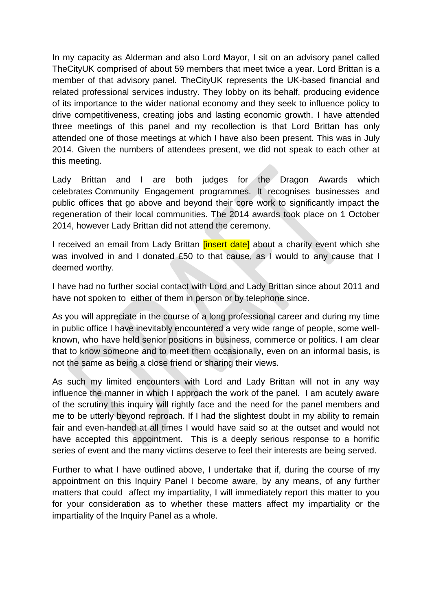In my capacity as Alderman and also Lord Mayor, I sit on an advisory panel called TheCityUK comprised of about 59 members that meet twice a year. Lord Brittan is a member of that advisory panel. TheCityUK represents the UK-based financial and related professional services industry. They lobby on its behalf, producing evidence of its importance to the wider national economy and they seek to influence policy to drive competitiveness, creating jobs and lasting economic growth. I have attended three meetings of this panel and my recollection is that Lord Brittan has only attended one of those meetings at which I have also been present. This was in July 2014. Given the numbers of attendees present, we did not speak to each other at this meeting.

Lady Brittan and I are both judges for the Dragon Awards which celebrates Community Engagement programmes. It recognises businesses and public offices that go above and beyond their core work to significantly impact the regeneration of their local communities. The 2014 awards took place on 1 October 2014, however Lady Brittan did not attend the ceremony.

I received an email from Lady Brittan *linsert datel* about a charity event which she was involved in and I donated £50 to that cause, as I would to any cause that I deemed worthy.

I have had no further social contact with Lord and Lady Brittan since about 2011 and have not spoken to either of them in person or by telephone since.

As you will appreciate in the course of a long professional career and during my time in public office I have inevitably encountered a very wide range of people, some wellknown, who have held senior positions in business, commerce or politics. I am clear that to know someone and to meet them occasionally, even on an informal basis, is not the same as being a close friend or sharing their views.

As such my limited encounters with Lord and Lady Brittan will not in any way influence the manner in which I approach the work of the panel. I am acutely aware of the scrutiny this inquiry will rightly face and the need for the panel members and me to be utterly beyond reproach. If I had the slightest doubt in my ability to remain fair and even-handed at all times I would have said so at the outset and would not have accepted this appointment. This is a deeply serious response to a horrific series of event and the many victims deserve to feel their interests are being served.

Further to what I have outlined above, I undertake that if, during the course of my appointment on this Inquiry Panel I become aware, by any means, of any further matters that could affect my impartiality, I will immediately report this matter to you for your consideration as to whether these matters affect my impartiality or the impartiality of the Inquiry Panel as a whole.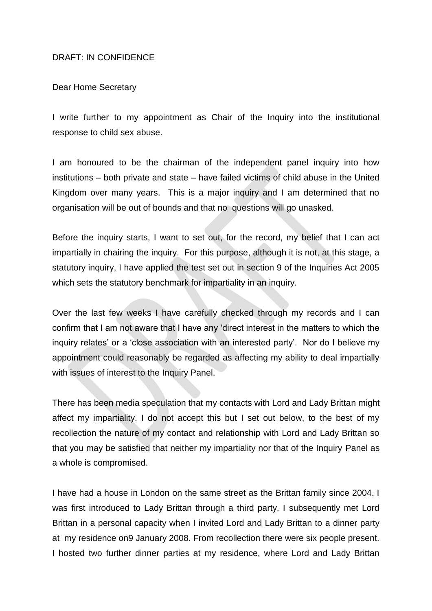### DRAFT: IN CONFIDENCE

#### Dear Home Secretary

I write further to my appointment as Chair of the Inquiry into the institutional response to child sex abuse.

I am honoured to be the chairman of the independent panel inquiry into how institutions – both private and state – have failed victims of child abuse in the United Kingdom over many years. This is a major inquiry and I am determined that no organisation will be out of bounds and that no questions will go unasked.

Before the inquiry starts, I want to set out, for the record, my belief that I can act impartially in chairing the inquiry. For this purpose, although it is not, at this stage, a statutory inquiry, I have applied the test set out in section 9 of the Inquiries Act 2005 which sets the statutory benchmark for impartiality in an inquiry.

Over the last few weeks I have carefully checked through my records and I can confirm that I am not aware that I have any 'direct interest in the matters to which the inquiry relates' or a 'close association with an interested party'. Nor do I believe my appointment could reasonably be regarded as affecting my ability to deal impartially with issues of interest to the Inquiry Panel.

There has been media speculation that my contacts with Lord and Lady Brittan might affect my impartiality. I do not accept this but I set out below, to the best of my recollection the nature of my contact and relationship with Lord and Lady Brittan so that you may be satisfied that neither my impartiality nor that of the Inquiry Panel as a whole is compromised.

I have had a house in London on the same street as the Brittan family since 2004. I was first introduced to Lady Brittan through a third party. I subsequently met Lord Brittan in a personal capacity when I invited Lord and Lady Brittan to a dinner party at my residence on9 January 2008. From recollection there were six people present. I hosted two further dinner parties at my residence, where Lord and Lady Brittan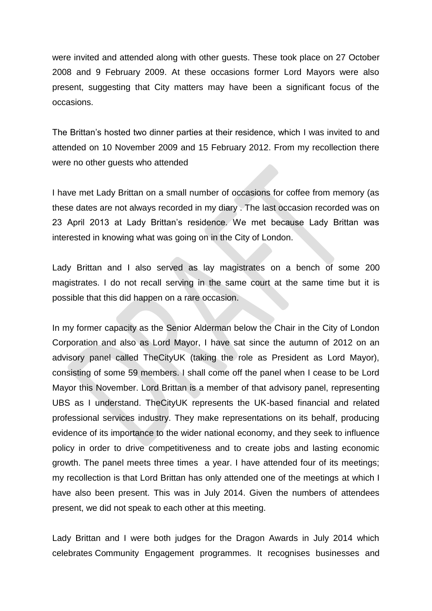were invited and attended along with other guests. These took place on 27 October 2008 and 9 February 2009. At these occasions former Lord Mayors were also present, suggesting that City matters may have been a significant focus of the occasions.

The Brittan's hosted two dinner parties at their residence, which I was invited to and attended on 10 November 2009 and 15 February 2012. From my recollection there were no other guests who attended

I have met Lady Brittan on a small number of occasions for coffee from memory (as these dates are not always recorded in my diary . The last occasion recorded was on 23 April 2013 at Lady Brittan's residence. We met because Lady Brittan was interested in knowing what was going on in the City of London.

Lady Brittan and I also served as lay magistrates on a bench of some 200 magistrates. I do not recall serving in the same court at the same time but it is possible that this did happen on a rare occasion.

In my former capacity as the Senior Alderman below the Chair in the City of London Corporation and also as Lord Mayor, I have sat since the autumn of 2012 on an advisory panel called TheCityUK (taking the role as President as Lord Mayor), consisting of some 59 members. I shall come off the panel when I cease to be Lord Mayor this November. Lord Brittan is a member of that advisory panel, representing UBS as I understand. TheCityUK represents the UK-based financial and related professional services industry. They make representations on its behalf, producing evidence of its importance to the wider national economy, and they seek to influence policy in order to drive competitiveness and to create jobs and lasting economic growth. The panel meets three times a year. I have attended four of its meetings; my recollection is that Lord Brittan has only attended one of the meetings at which I have also been present. This was in July 2014. Given the numbers of attendees present, we did not speak to each other at this meeting.

Lady Brittan and I were both judges for the Dragon Awards in July 2014 which celebrates Community Engagement programmes. It recognises businesses and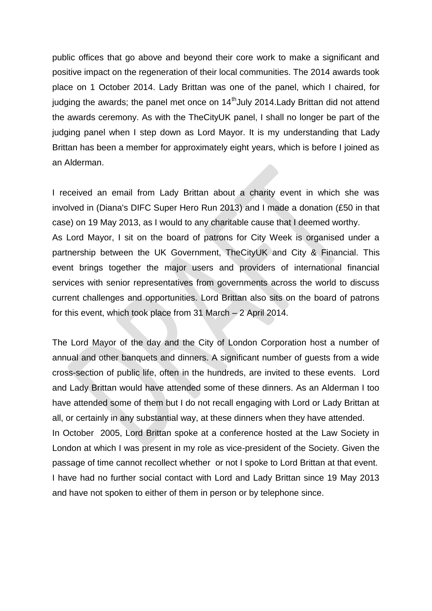public offices that go above and beyond their core work to make a significant and positive impact on the regeneration of their local communities. The 2014 awards took place on 1 October 2014. Lady Brittan was one of the panel, which I chaired, for judging the awards; the panel met once on 14<sup>th</sup> July 2014. Lady Brittan did not attend the awards ceremony. As with the TheCityUK panel, I shall no longer be part of the judging panel when I step down as Lord Mayor. It is my understanding that Lady Brittan has been a member for approximately eight years, which is before I joined as an Alderman.

I received an email from Lady Brittan about a charity event in which she was involved in (Diana's DIFC Super Hero Run 2013) and I made a donation (£50 in that case) on 19 May 2013, as I would to any charitable cause that I deemed worthy. As Lord Mayor, I sit on the board of patrons for City Week is organised under a partnership between the UK Government, TheCityUK and City & Financial. This event brings together the major users and providers of international financial services with senior representatives from governments across the world to discuss current challenges and opportunities. Lord Brittan also sits on the board of patrons for this event, which took place from 31 March – 2 April 2014.

The Lord Mayor of the day and the City of London Corporation host a number of annual and other banquets and dinners. A significant number of guests from a wide cross-section of public life, often in the hundreds, are invited to these events. Lord and Lady Brittan would have attended some of these dinners. As an Alderman I too have attended some of them but I do not recall engaging with Lord or Lady Brittan at all, or certainly in any substantial way, at these dinners when they have attended. In October 2005, Lord Brittan spoke at a conference hosted at the Law Society in London at which I was present in my role as vice-president of the Society. Given the passage of time cannot recollect whether or not I spoke to Lord Brittan at that event. I have had no further social contact with Lord and Lady Brittan since 19 May 2013 and have not spoken to either of them in person or by telephone since.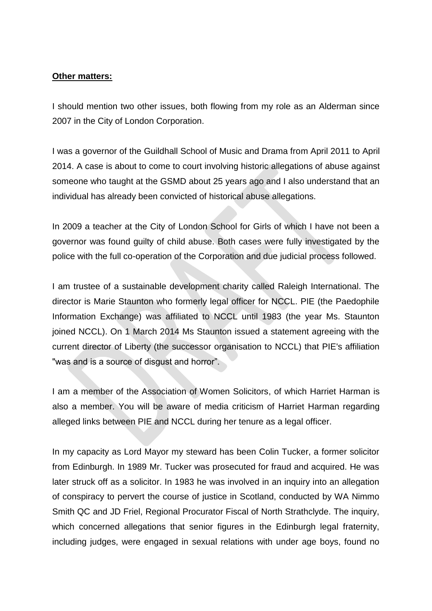# **Other matters:**

I should mention two other issues, both flowing from my role as an Alderman since 2007 in the City of London Corporation.

I was a governor of the Guildhall School of Music and Drama from April 2011 to April 2014. A case is about to come to court involving historic allegations of abuse against someone who taught at the GSMD about 25 years ago and I also understand that an individual has already been convicted of historical abuse allegations.

In 2009 a teacher at the City of London School for Girls of which I have not been a governor was found guilty of child abuse. Both cases were fully investigated by the police with the full co-operation of the Corporation and due judicial process followed.

I am trustee of a sustainable development charity called Raleigh International. The director is Marie Staunton who formerly legal officer for NCCL. PIE (the Paedophile Information Exchange) was affiliated to NCCL until 1983 (the year Ms. Staunton joined NCCL). On 1 March 2014 Ms Staunton issued a statement agreeing with the current director of Liberty (the successor organisation to NCCL) that PIE's affiliation "was and is a source of disgust and horror".

I am a member of the Association of Women Solicitors, of which Harriet Harman is also a member. You will be aware of media criticism of Harriet Harman regarding alleged links between PIE and NCCL during her tenure as a legal officer.

In my capacity as Lord Mayor my steward has been Colin Tucker, a former solicitor from Edinburgh. In 1989 Mr. Tucker was prosecuted for fraud and acquired. He was later struck off as a solicitor. In 1983 he was involved in an inquiry into an allegation of conspiracy to pervert the course of justice in Scotland, conducted by WA Nimmo Smith QC and JD Friel, Regional Procurator Fiscal of North Strathclyde. The inquiry, which concerned allegations that senior figures in the Edinburgh legal fraternity, including judges, were engaged in sexual relations with under age boys, found no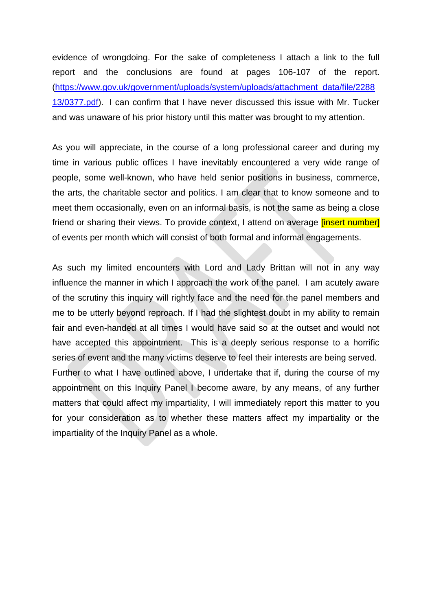evidence of wrongdoing. For the sake of completeness I attach a link to the full report and the conclusions are found at pages 106-107 of the report. [\(https://www.gov.uk/government/uploads/system/uploads/attachment\\_data/file/2288](https://www.gov.uk/government/uploads/system/uploads/attachment_data/file/228813/0377.pdf) [13/0377.pdf\)](https://www.gov.uk/government/uploads/system/uploads/attachment_data/file/228813/0377.pdf). I can confirm that I have never discussed this issue with Mr. Tucker and was unaware of his prior history until this matter was brought to my attention.

As you will appreciate, in the course of a long professional career and during my time in various public offices I have inevitably encountered a very wide range of people, some well-known, who have held senior positions in business, commerce, the arts, the charitable sector and politics. I am clear that to know someone and to meet them occasionally, even on an informal basis, is not the same as being a close friend or sharing their views. To provide context, I attend on average *[insert number]* of events per month which will consist of both formal and informal engagements.

As such my limited encounters with Lord and Lady Brittan will not in any way influence the manner in which I approach the work of the panel. I am acutely aware of the scrutiny this inquiry will rightly face and the need for the panel members and me to be utterly beyond reproach. If I had the slightest doubt in my ability to remain fair and even-handed at all times I would have said so at the outset and would not have accepted this appointment. This is a deeply serious response to a horrific series of event and the many victims deserve to feel their interests are being served. Further to what I have outlined above, I undertake that if, during the course of my appointment on this Inquiry Panel I become aware, by any means, of any further matters that could affect my impartiality, I will immediately report this matter to you for your consideration as to whether these matters affect my impartiality or the impartiality of the Inquiry Panel as a whole.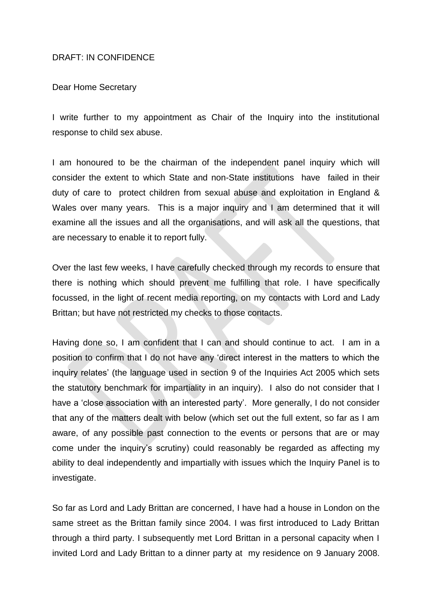### DRAFT: IN CONFIDENCE

#### Dear Home Secretary

I write further to my appointment as Chair of the Inquiry into the institutional response to child sex abuse.

I am honoured to be the chairman of the independent panel inquiry which will consider the extent to which State and non-State institutions have failed in their duty of care to protect children from sexual abuse and exploitation in England & Wales over many years. This is a major inquiry and I am determined that it will examine all the issues and all the organisations, and will ask all the questions, that are necessary to enable it to report fully.

Over the last few weeks, I have carefully checked through my records to ensure that there is nothing which should prevent me fulfilling that role. I have specifically focussed, in the light of recent media reporting, on my contacts with Lord and Lady Brittan; but have not restricted my checks to those contacts.

Having done so, I am confident that I can and should continue to act. I am in a position to confirm that I do not have any 'direct interest in the matters to which the inquiry relates' (the language used in section 9 of the Inquiries Act 2005 which sets the statutory benchmark for impartiality in an inquiry). I also do not consider that I have a 'close association with an interested party'. More generally, I do not consider that any of the matters dealt with below (which set out the full extent, so far as I am aware, of any possible past connection to the events or persons that are or may come under the inquiry's scrutiny) could reasonably be regarded as affecting my ability to deal independently and impartially with issues which the Inquiry Panel is to investigate.

So far as Lord and Lady Brittan are concerned, I have had a house in London on the same street as the Brittan family since 2004. I was first introduced to Lady Brittan through a third party. I subsequently met Lord Brittan in a personal capacity when I invited Lord and Lady Brittan to a dinner party at my residence on 9 January 2008.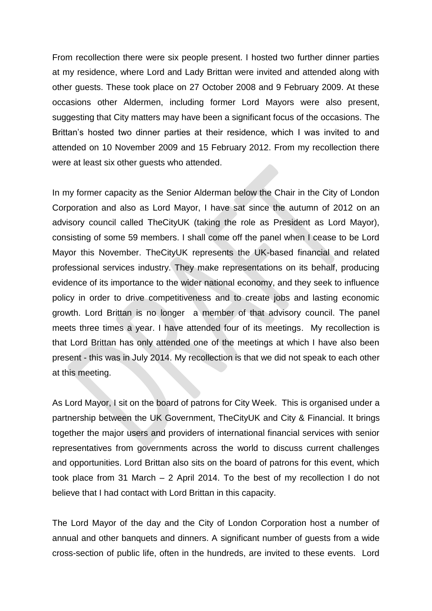From recollection there were six people present. I hosted two further dinner parties at my residence, where Lord and Lady Brittan were invited and attended along with other guests. These took place on 27 October 2008 and 9 February 2009. At these occasions other Aldermen, including former Lord Mayors were also present, suggesting that City matters may have been a significant focus of the occasions. The Brittan's hosted two dinner parties at their residence, which I was invited to and attended on 10 November 2009 and 15 February 2012. From my recollection there were at least six other guests who attended.

In my former capacity as the Senior Alderman below the Chair in the City of London Corporation and also as Lord Mayor, I have sat since the autumn of 2012 on an advisory council called TheCityUK (taking the role as President as Lord Mayor), consisting of some 59 members. I shall come off the panel when I cease to be Lord Mayor this November. TheCityUK represents the UK-based financial and related professional services industry. They make representations on its behalf, producing evidence of its importance to the wider national economy, and they seek to influence policy in order to drive competitiveness and to create jobs and lasting economic growth. Lord Brittan is no longer a member of that advisory council. The panel meets three times a year. I have attended four of its meetings. My recollection is that Lord Brittan has only attended one of the meetings at which I have also been present - this was in July 2014. My recollection is that we did not speak to each other at this meeting.

As Lord Mayor, I sit on the board of patrons for City Week. This is organised under a partnership between the UK Government, TheCityUK and City & Financial. It brings together the major users and providers of international financial services with senior representatives from governments across the world to discuss current challenges and opportunities. Lord Brittan also sits on the board of patrons for this event, which took place from 31 March – 2 April 2014. To the best of my recollection I do not believe that I had contact with Lord Brittan in this capacity.

The Lord Mayor of the day and the City of London Corporation host a number of annual and other banquets and dinners. A significant number of guests from a wide cross-section of public life, often in the hundreds, are invited to these events. Lord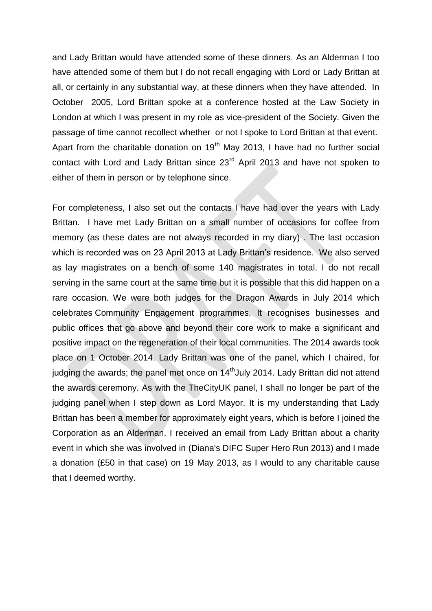and Lady Brittan would have attended some of these dinners. As an Alderman I too have attended some of them but I do not recall engaging with Lord or Lady Brittan at all, or certainly in any substantial way, at these dinners when they have attended. In October 2005, Lord Brittan spoke at a conference hosted at the Law Society in London at which I was present in my role as vice-president of the Society. Given the passage of time cannot recollect whether or not I spoke to Lord Brittan at that event. Apart from the charitable donation on  $19<sup>th</sup>$  May 2013, I have had no further social contact with Lord and Lady Brittan since 23<sup>rd</sup> April 2013 and have not spoken to either of them in person or by telephone since.

For completeness, I also set out the contacts I have had over the years with Lady Brittan. I have met Lady Brittan on a small number of occasions for coffee from memory (as these dates are not always recorded in my diary) . The last occasion which is recorded was on 23 April 2013 at Lady Brittan's residence. We also served as lay magistrates on a bench of some 140 magistrates in total. I do not recall serving in the same court at the same time but it is possible that this did happen on a rare occasion. We were both judges for the Dragon Awards in July 2014 which celebrates Community Engagement programmes. It recognises businesses and public offices that go above and beyond their core work to make a significant and positive impact on the regeneration of their local communities. The 2014 awards took place on 1 October 2014. Lady Brittan was one of the panel, which I chaired, for judging the awards; the panel met once on 14<sup>th</sup> July 2014. Lady Brittan did not attend the awards ceremony. As with the TheCityUK panel, I shall no longer be part of the judging panel when I step down as Lord Mayor. It is my understanding that Lady Brittan has been a member for approximately eight years, which is before I joined the Corporation as an Alderman. I received an email from Lady Brittan about a charity event in which she was involved in (Diana's DIFC Super Hero Run 2013) and I made a donation (£50 in that case) on 19 May 2013, as I would to any charitable cause that I deemed worthy.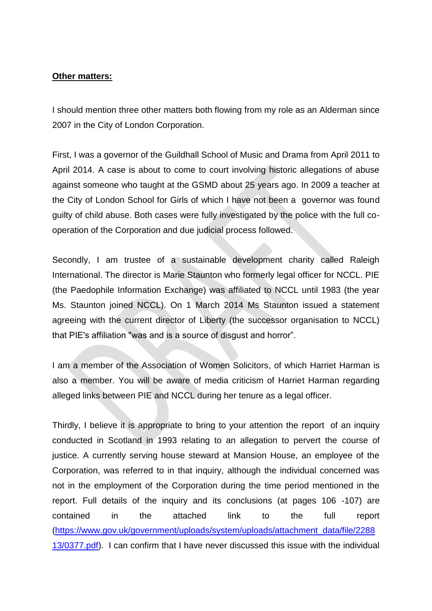## **Other matters:**

I should mention three other matters both flowing from my role as an Alderman since 2007 in the City of London Corporation.

First, I was a governor of the Guildhall School of Music and Drama from April 2011 to April 2014. A case is about to come to court involving historic allegations of abuse against someone who taught at the GSMD about 25 years ago. In 2009 a teacher at the City of London School for Girls of which I have not been a governor was found guilty of child abuse. Both cases were fully investigated by the police with the full cooperation of the Corporation and due judicial process followed.

Secondly, I am trustee of a sustainable development charity called Raleigh International. The director is Marie Staunton who formerly legal officer for NCCL. PIE (the Paedophile Information Exchange) was affiliated to NCCL until 1983 (the year Ms. Staunton joined NCCL). On 1 March 2014 Ms Staunton issued a statement agreeing with the current director of Liberty (the successor organisation to NCCL) that PIE's affiliation "was and is a source of disgust and horror".

I am a member of the Association of Women Solicitors, of which Harriet Harman is also a member. You will be aware of media criticism of Harriet Harman regarding alleged links between PIE and NCCL during her tenure as a legal officer.

Thirdly, I believe it is appropriate to bring to your attention the report of an inquiry conducted in Scotland in 1993 relating to an allegation to pervert the course of justice. A currently serving house steward at Mansion House, an employee of the Corporation, was referred to in that inquiry, although the individual concerned was not in the employment of the Corporation during the time period mentioned in the report. Full details of the inquiry and its conclusions (at pages 106 -107) are contained in the attached link to the full report [\(https://www.gov.uk/government/uploads/system/uploads/attachment\\_data/file/2288](https://www.gov.uk/government/uploads/system/uploads/attachment_data/file/228813/0377.pdf) [13/0377.pdf\)](https://www.gov.uk/government/uploads/system/uploads/attachment_data/file/228813/0377.pdf). I can confirm that I have never discussed this issue with the individual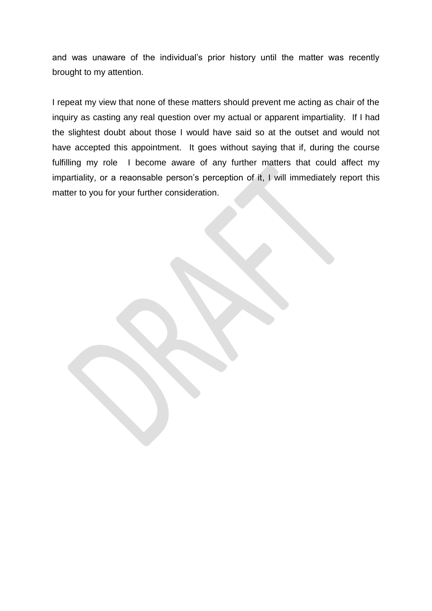and was unaware of the individual's prior history until the matter was recently brought to my attention.

I repeat my view that none of these matters should prevent me acting as chair of the inquiry as casting any real question over my actual or apparent impartiality. If I had the slightest doubt about those I would have said so at the outset and would not have accepted this appointment. It goes without saying that if, during the course fulfilling my role I become aware of any further matters that could affect my impartiality, or a reaonsable person's perception of it, I will immediately report this matter to you for your further consideration.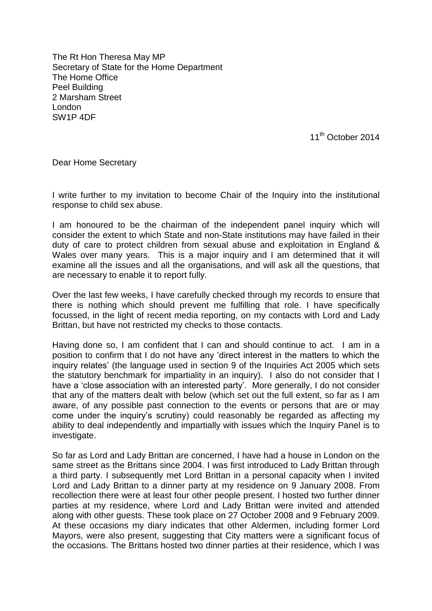The Rt Hon Theresa May MP Secretary of State for the Home Department The Home Office Peel Building 2 Marsham Street London SW1P 4DF

11<sup>th</sup> October 2014

Dear Home Secretary

I write further to my invitation to become Chair of the Inquiry into the institutional response to child sex abuse.

I am honoured to be the chairman of the independent panel inquiry which will consider the extent to which State and non-State institutions may have failed in their duty of care to protect children from sexual abuse and exploitation in England & Wales over many years. This is a major inquiry and I am determined that it will examine all the issues and all the organisations, and will ask all the questions, that are necessary to enable it to report fully.

Over the last few weeks, I have carefully checked through my records to ensure that there is nothing which should prevent me fulfilling that role. I have specifically focussed, in the light of recent media reporting, on my contacts with Lord and Lady Brittan, but have not restricted my checks to those contacts.

Having done so, I am confident that I can and should continue to act. I am in a position to confirm that I do not have any 'direct interest in the matters to which the inquiry relates' (the language used in section 9 of the Inquiries Act 2005 which sets the statutory benchmark for impartiality in an inquiry). I also do not consider that I have a 'close association with an interested party'. More generally, I do not consider that any of the matters dealt with below (which set out the full extent, so far as I am aware, of any possible past connection to the events or persons that are or may come under the inquiry's scrutiny) could reasonably be regarded as affecting my ability to deal independently and impartially with issues which the Inquiry Panel is to investigate.

So far as Lord and Lady Brittan are concerned, I have had a house in London on the same street as the Brittans since 2004. I was first introduced to Lady Brittan through a third party. I subsequently met Lord Brittan in a personal capacity when I invited Lord and Lady Brittan to a dinner party at my residence on 9 January 2008. From recollection there were at least four other people present. I hosted two further dinner parties at my residence, where Lord and Lady Brittan were invited and attended along with other guests. These took place on 27 October 2008 and 9 February 2009. At these occasions my diary indicates that other Aldermen, including former Lord Mayors, were also present, suggesting that City matters were a significant focus of the occasions. The Brittans hosted two dinner parties at their residence, which I was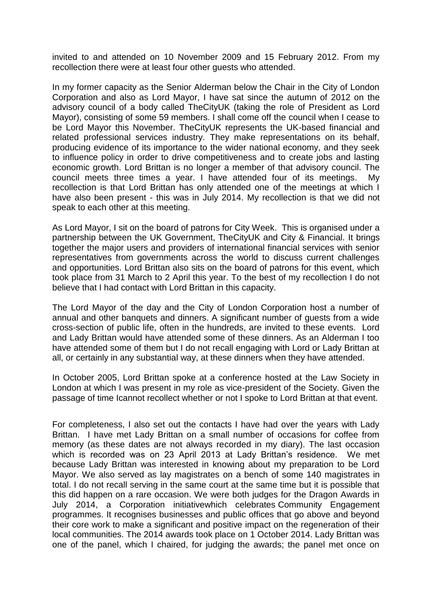invited to and attended on 10 November 2009 and 15 February 2012. From my recollection there were at least four other guests who attended.

In my former capacity as the Senior Alderman below the Chair in the City of London Corporation and also as Lord Mayor, I have sat since the autumn of 2012 on the advisory council of a body called TheCityUK (taking the role of President as Lord Mayor), consisting of some 59 members. I shall come off the council when I cease to be Lord Mayor this November. TheCityUK represents the UK-based financial and related professional services industry. They make representations on its behalf, producing evidence of its importance to the wider national economy, and they seek to influence policy in order to drive competitiveness and to create jobs and lasting economic growth. Lord Brittan is no longer a member of that advisory council. The council meets three times a year. I have attended four of its meetings. My recollection is that Lord Brittan has only attended one of the meetings at which I have also been present - this was in July 2014. My recollection is that we did not speak to each other at this meeting.

As Lord Mayor, I sit on the board of patrons for City Week. This is organised under a partnership between the UK Government, TheCityUK and City & Financial. It brings together the major users and providers of international financial services with senior representatives from governments across the world to discuss current challenges and opportunities. Lord Brittan also sits on the board of patrons for this event, which took place from 31 March to 2 April this year. To the best of my recollection I do not believe that I had contact with Lord Brittan in this capacity.

The Lord Mayor of the day and the City of London Corporation host a number of annual and other banquets and dinners. A significant number of guests from a wide cross-section of public life, often in the hundreds, are invited to these events. Lord and Lady Brittan would have attended some of these dinners. As an Alderman I too have attended some of them but I do not recall engaging with Lord or Lady Brittan at all, or certainly in any substantial way, at these dinners when they have attended.

In October 2005, Lord Brittan spoke at a conference hosted at the Law Society in London at which I was present in my role as vice-president of the Society. Given the passage of time Icannot recollect whether or not I spoke to Lord Brittan at that event.

For completeness, I also set out the contacts I have had over the years with Lady Brittan. I have met Lady Brittan on a small number of occasions for coffee from memory (as these dates are not always recorded in my diary). The last occasion which is recorded was on 23 April 2013 at Lady Brittan's residence. We met because Lady Brittan was interested in knowing about my preparation to be Lord Mayor. We also served as lay magistrates on a bench of some 140 magistrates in total. I do not recall serving in the same court at the same time but it is possible that this did happen on a rare occasion. We were both judges for the Dragon Awards in July 2014, a Corporation initiativewhich celebrates Community Engagement programmes. It recognises businesses and public offices that go above and beyond their core work to make a significant and positive impact on the regeneration of their local communities. The 2014 awards took place on 1 October 2014. Lady Brittan was one of the panel, which I chaired, for judging the awards; the panel met once on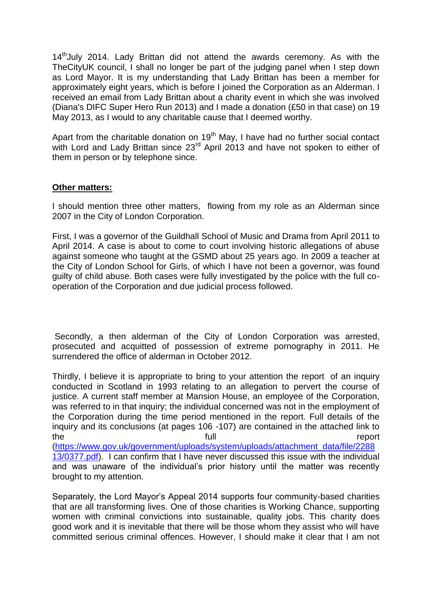14<sup>th</sup>July 2014. Lady Brittan did not attend the awards ceremony. As with the TheCityUK council, I shall no longer be part of the judging panel when I step down as Lord Mayor. It is my understanding that Lady Brittan has been a member for approximately eight years, which is before I joined the Corporation as an Alderman. I received an email from Lady Brittan about a charity event in which she was involved (Diana's DIFC Super Hero Run 2013) and I made a donation (£50 in that case) on 19 May 2013, as I would to any charitable cause that I deemed worthy.

Apart from the charitable donation on  $19<sup>th</sup>$  May, I have had no further social contact with Lord and Lady Brittan since 23<sup>rd</sup> April 2013 and have not spoken to either of them in person or by telephone since.

## **Other matters:**

I should mention three other matters, flowing from my role as an Alderman since 2007 in the City of London Corporation.

First, I was a governor of the Guildhall School of Music and Drama from April 2011 to April 2014. A case is about to come to court involving historic allegations of abuse against someone who taught at the GSMD about 25 years ago. In 2009 a teacher at the City of London School for Girls, of which I have not been a governor, was found guilty of child abuse. Both cases were fully investigated by the police with the full cooperation of the Corporation and due judicial process followed.

Secondly, a then alderman of the City of London Corporation was arrested, prosecuted and acquitted of possession of extreme pornography in 2011. He surrendered the office of alderman in October 2012.

Thirdly, I believe it is appropriate to bring to your attention the report of an inquiry conducted in Scotland in 1993 relating to an allegation to pervert the course of justice. A current staff member at Mansion House, an employee of the Corporation, was referred to in that inquiry; the individual concerned was not in the employment of the Corporation during the time period mentioned in the report. Full details of the inquiry and its conclusions (at pages 106 -107) are contained in the attached link to the the full the report of  $\mathfrak{g}$  and  $\mathfrak{g}$  and  $\mathfrak{g}$  and  $\mathfrak{g}$  and  $\mathfrak{g}$  and  $\mathfrak{g}$  and  $\mathfrak{g}$  and  $\mathfrak{g}$  and  $\mathfrak{g}$  and  $\mathfrak{g}$  and  $\mathfrak{g}$  and  $\mathfrak{g}$  and  $\mathfrak{g}$  and  $\mathfrak{g}$  and [\(https://www.gov.uk/government/uploads/system/uploads/attachment\\_data/file/2288](https://www.gov.uk/government/uploads/system/uploads/attachment_data/file/228813/0377.pdf) [13/0377.pdf\)](https://www.gov.uk/government/uploads/system/uploads/attachment_data/file/228813/0377.pdf). I can confirm that I have never discussed this issue with the individual and was unaware of the individual's prior history until the matter was recently brought to my attention.

Separately, the Lord Mayor's Appeal 2014 supports four community-based charities that are all transforming lives. One of those charities is Working Chance, supporting women with criminal convictions into sustainable, quality jobs. This charity does good work and it is inevitable that there will be those whom they assist who will have committed serious criminal offences. However, I should make it clear that I am not